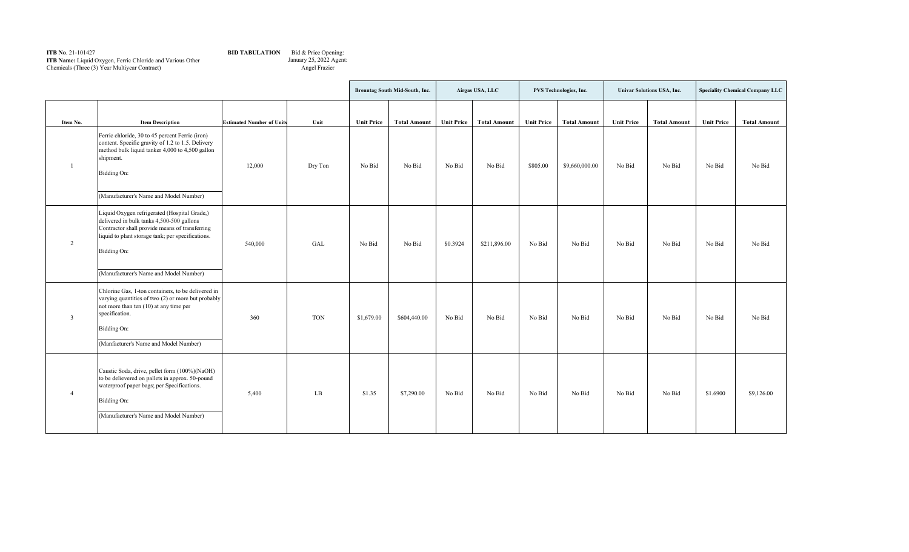## **ITB No**. 21-101427 **ITB Name:** Liquid Oxygen, Ferric Chloride and Various Other Chemicals (Three (3) Year Multiyear Contract)

## **BID TABULATION** Bid & Price Opening:

January 25, 2022 Agent: Angel Frazier

|                |                                                                                                                                                                                                                                                           |                                  |            | Brenntag South Mid-South, Inc. |                     | Airgas USA, LLC |                     | PVS Technologies, Inc. |                     | <b>Univar Solutions USA, Inc.</b> |                     | <b>Speciality Chemical Company LLC</b> |                     |
|----------------|-----------------------------------------------------------------------------------------------------------------------------------------------------------------------------------------------------------------------------------------------------------|----------------------------------|------------|--------------------------------|---------------------|-----------------|---------------------|------------------------|---------------------|-----------------------------------|---------------------|----------------------------------------|---------------------|
| Item No.       | <b>Item Description</b>                                                                                                                                                                                                                                   | <b>Estimated Number of Units</b> | Unit       | <b>Unit Price</b>              | <b>Total Amount</b> | Unit Price      | <b>Total Amount</b> | <b>Unit Price</b>      | <b>Total Amount</b> | <b>Unit Price</b>                 | <b>Total Amount</b> | <b>Unit Price</b>                      | <b>Total Amount</b> |
|                | Ferric chloride, 30 to 45 percent Ferric (iron)<br>content. Specific gravity of 1.2 to 1.5. Delivery<br>method bulk liquid tanker 4,000 to 4,500 gallon<br>shipment.<br>Bidding On:<br>(Manufacturer's Name and Model Number)                             | 12,000                           | Dry Ton    | No Bid                         | No Bid              | No Bid          | No Bid              | \$805.00               | \$9,660,000.00      | No Bid                            | No Bid              | No Bid                                 | No Bid              |
| 2              | Liquid Oxygen refrigerated (Hospital Grade,)<br>delivered in bulk tanks 4,500-500 gallons<br>Contractor shall provide means of transferring<br>liquid to plant storage tank; per specifications.<br>Bidding On:<br>(Manufacturer's Name and Model Number) | 540,000                          | GAL        | No Bid                         | No Bid              | \$0.3924        | \$211,896.00        | No Bid                 | No Bid              | No Bid                            | No Bid              | No Bid                                 | No Bid              |
| $\overline{3}$ | Chlorine Gas, 1-ton containers, to be delivered in<br>varying quantities of two (2) or more but probably<br>not more than ten $(10)$ at any time per<br>specification.<br>Bidding On:<br>(Manfacturer's Name and Model Number)                            | 360                              | <b>TON</b> | \$1,679.00                     | \$604,440.00        | No Bid          | No Bid              | No Bid                 | No Bid              | No Bid                            | No Bid              | No Bid                                 | No Bid              |
| $\overline{4}$ | Caustic Soda, drive, pellet form (100%)(NaOH)<br>to be delievered on pallets in approx. 50-pound<br>waterproof paper bags; per Specifications.<br>Bidding On:<br>(Manufacturer's Name and Model Number)                                                   | 5,400                            | LB         | \$1.35                         | \$7,290.00          | No Bid          | No Bid              | No Bid                 | No Bid              | No Bid                            | No Bid              | \$1.6900                               | \$9,126.00          |